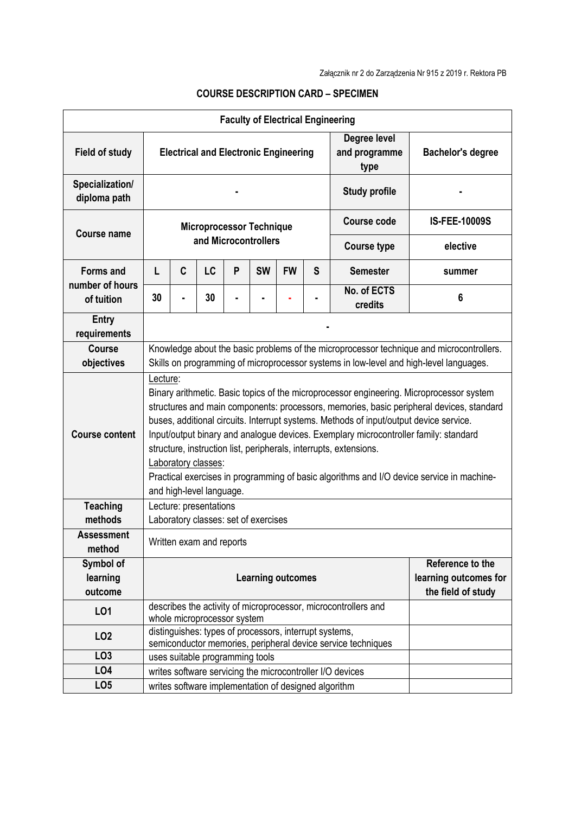|                                 |                                                                                                                                                                                                                                                                                                                                                                                                                                                                                                                                                                                                         |                                 |    |   | <b>Faculty of Electrical Engineering</b> |           |   |                                                                |                      |
|---------------------------------|---------------------------------------------------------------------------------------------------------------------------------------------------------------------------------------------------------------------------------------------------------------------------------------------------------------------------------------------------------------------------------------------------------------------------------------------------------------------------------------------------------------------------------------------------------------------------------------------------------|---------------------------------|----|---|------------------------------------------|-----------|---|----------------------------------------------------------------|----------------------|
| <b>Field of study</b>           | Degree level<br><b>Electrical and Electronic Engineering</b><br>and programme<br>type                                                                                                                                                                                                                                                                                                                                                                                                                                                                                                                   |                                 |    |   |                                          |           |   | <b>Bachelor's degree</b>                                       |                      |
| Specialization/<br>diploma path |                                                                                                                                                                                                                                                                                                                                                                                                                                                                                                                                                                                                         |                                 |    |   |                                          |           |   | <b>Study profile</b>                                           |                      |
| <b>Course name</b>              | <b>Microprocessor Technique</b><br>and Microcontrollers                                                                                                                                                                                                                                                                                                                                                                                                                                                                                                                                                 |                                 |    |   |                                          |           |   | <b>Course code</b>                                             | <b>IS-FEE-10009S</b> |
|                                 |                                                                                                                                                                                                                                                                                                                                                                                                                                                                                                                                                                                                         |                                 |    |   |                                          |           |   | <b>Course type</b>                                             | elective             |
| <b>Forms and</b>                | L                                                                                                                                                                                                                                                                                                                                                                                                                                                                                                                                                                                                       | C                               | LC | P | <b>SW</b>                                | <b>FW</b> | S | <b>Semester</b>                                                | summer               |
| number of hours<br>of tuition   | 30                                                                                                                                                                                                                                                                                                                                                                                                                                                                                                                                                                                                      |                                 | 30 |   |                                          |           |   | No. of ECTS<br>credits                                         | 6                    |
| <b>Entry</b><br>requirements    |                                                                                                                                                                                                                                                                                                                                                                                                                                                                                                                                                                                                         |                                 |    |   |                                          |           |   |                                                                |                      |
| <b>Course</b>                   | Knowledge about the basic problems of the microprocessor technique and microcontrollers.<br>Skills on programming of microprocessor systems in low-level and high-level languages.                                                                                                                                                                                                                                                                                                                                                                                                                      |                                 |    |   |                                          |           |   |                                                                |                      |
| objectives                      |                                                                                                                                                                                                                                                                                                                                                                                                                                                                                                                                                                                                         |                                 |    |   |                                          |           |   |                                                                |                      |
| <b>Course content</b>           | Lecture:<br>Binary arithmetic. Basic topics of the microprocessor engineering. Microprocessor system<br>structures and main components: processors, memories, basic peripheral devices, standard<br>buses, additional circuits. Interrupt systems. Methods of input/output device service.<br>Input/output binary and analogue devices. Exemplary microcontroller family: standard<br>structure, instruction list, peripherals, interrupts, extensions.<br>Laboratory classes:<br>Practical exercises in programming of basic algorithms and I/O device service in machine-<br>and high-level language. |                                 |    |   |                                          |           |   |                                                                |                      |
| <b>Teaching</b>                 |                                                                                                                                                                                                                                                                                                                                                                                                                                                                                                                                                                                                         | Lecture: presentations          |    |   |                                          |           |   |                                                                |                      |
| methods                         | Laboratory classes: set of exercises                                                                                                                                                                                                                                                                                                                                                                                                                                                                                                                                                                    |                                 |    |   |                                          |           |   |                                                                |                      |
| <b>Assessment</b><br>method     |                                                                                                                                                                                                                                                                                                                                                                                                                                                                                                                                                                                                         | Written exam and reports        |    |   |                                          |           |   |                                                                |                      |
| Symbol of                       |                                                                                                                                                                                                                                                                                                                                                                                                                                                                                                                                                                                                         |                                 |    |   |                                          |           |   |                                                                | Reference to the     |
| learning                        | <b>Learning outcomes</b><br>learning outcomes for                                                                                                                                                                                                                                                                                                                                                                                                                                                                                                                                                       |                                 |    |   |                                          |           |   |                                                                |                      |
| outcome                         |                                                                                                                                                                                                                                                                                                                                                                                                                                                                                                                                                                                                         |                                 |    |   |                                          |           |   |                                                                | the field of study   |
| LO1                             |                                                                                                                                                                                                                                                                                                                                                                                                                                                                                                                                                                                                         | whole microprocessor system     |    |   |                                          |           |   | describes the activity of microprocessor, microcontrollers and |                      |
| LO <sub>2</sub>                 | distinguishes: types of processors, interrupt systems,<br>semiconductor memories, peripheral device service techniques                                                                                                                                                                                                                                                                                                                                                                                                                                                                                  |                                 |    |   |                                          |           |   |                                                                |                      |
| LO <sub>3</sub>                 |                                                                                                                                                                                                                                                                                                                                                                                                                                                                                                                                                                                                         | uses suitable programming tools |    |   |                                          |           |   |                                                                |                      |
| LO <sub>4</sub>                 | writes software servicing the microcontroller I/O devices                                                                                                                                                                                                                                                                                                                                                                                                                                                                                                                                               |                                 |    |   |                                          |           |   |                                                                |                      |
| LO <sub>5</sub>                 | writes software implementation of designed algorithm                                                                                                                                                                                                                                                                                                                                                                                                                                                                                                                                                    |                                 |    |   |                                          |           |   |                                                                |                      |

## **COURSE DESCRIPTION CARD – SPECIMEN**